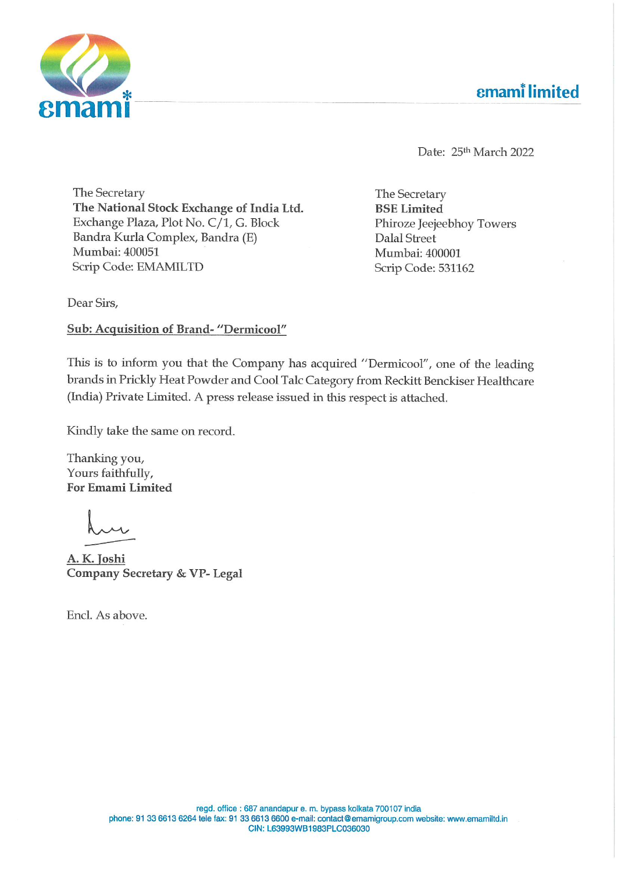



Date: 25<sup>th</sup> March 2022

The Secretary The National Stock Exchange of India Ltd. Exchange Plaza, Plot No. C/1, G. Block Bandra Kurla Complex, Bandra (E) Mumbai: 400051 Scrip Code: EMAMILTD

The Secretary BSE Limited Phiroze Jeejeebhoy Towers Dalal Street Mumbai: 400001 Scrip Code: 531162

Dear Sirs,

Sub: Acquisition of Brand- "Dermicool"

This is to inform you that the Company has acquired "Dermicool", one of the leading brands in Prickly Heat Powder and Cool Talc Category from Reckitt Benckiser Healthcare (India) Private Limited. <sup>A</sup> press release issued in this respect is attached.

Kindly take the same on record.

Thanking you, Yours faithfully, For Emami Limited

 $\mathbf{L}$ ---

A. K. Joshi Company Secretary & VP- Legal

Encl. As above.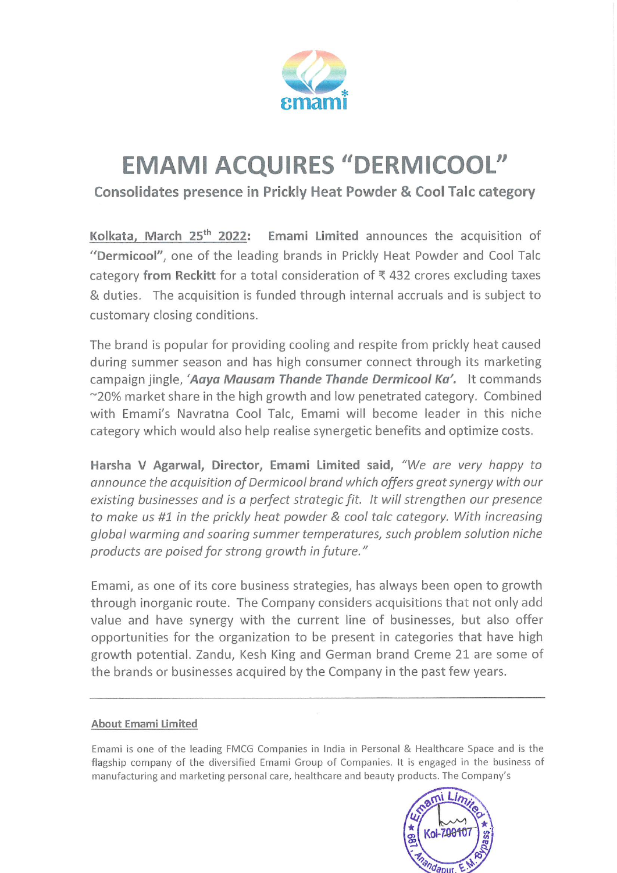

## EMAMI ACQUIRES "DERMICOOL"

Consolidates presence in Prickly Heat Powder & Cool Talc category

Kolkata. March 25<sup>th</sup> 2022: Emami Limited announces the acquisition of "Dermicool", one of the leading brands in Prickly Heat Powder and Cool Talc category from Reckitt for a total consideration of  $\bar{\tau}$  432 crores excluding taxes & duties. The acquisition is funded through internal accruals and is subject to customary closing conditions.

The brand is popular for providing cooling and respite from prickly heat caused during summer season and has high consumer connect through its marketing campaign jingle, 'Aaya Mausam Thande Thande Dermicool Ka'. It commands ~20% market share in the high growth and low penetrated category. Combined with Emami's Navratna Cool Talc, Emami will become leader in this niche category which would also help realise synergetic benefits and optimize costs.

Harsha <sup>V</sup> Agarwal, Director, Emami Limited said, "We are very happy to announce the acquisition of Dermicool brand which offers great synergy with our existing businesses and is <sup>a</sup> perfect strategic fit. It will strengthen our presence to make us #1 in the prickly heat powder & cool talc category. With increasing global warming and soaring summer temperatures, such problem solution niche products are poised for strong growth in future."

Emami, as one of its core business strategies, has always been open to growth through inorganic route. The Company considers acquisitions that not only add value and have synergy with the current line of businesses, but also offer opportunities for the organization to be present in categories that have high growth potential. Zandu, Kesh King and German brand Creme <sup>21</sup> are some of the brands or businesses acquired by the Company in the past few years.

## About Emami Limited

Emami is one of the leading FMCG Companies in India in Personal & Healthcare Space and is the flagship company of the diversified Emami Group of Companies. It is engaged in the business of manufacturing and marketing personal care, healthcare and beauty products. The Company's